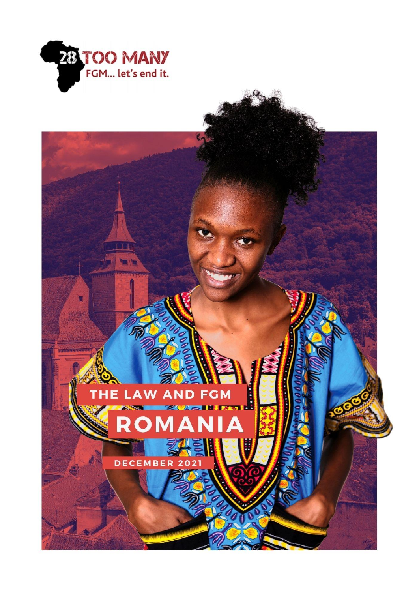

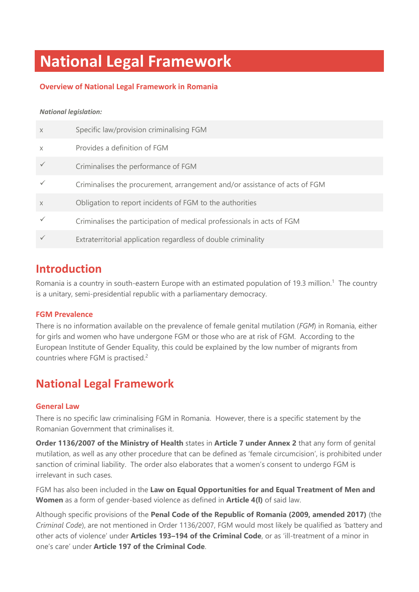# **National Legal Framework**

# **Overview of National Legal Framework in Romania**

#### *National legislation:*

| $\times$ | Specific law/provision criminalising FGM                                   |
|----------|----------------------------------------------------------------------------|
| $\times$ | Provides a definition of FGM                                               |
|          | Criminalises the performance of FGM                                        |
|          | Criminalises the procurement, arrangement and/or assistance of acts of FGM |
| $\chi$   | Obligation to report incidents of FGM to the authorities                   |
|          | Criminalises the participation of medical professionals in acts of FGM     |
|          | Extraterritorial application regardless of double criminality              |

# **Introduction**

Romania is a country in south-eastern Europe with an estimated population of 19.3 million.<sup>1</sup> The country is a unitary, semi-presidential republic with a parliamentary democracy.

### **FGM Prevalence**

There is no information available on the prevalence of female genital mutilation (*FGM*) in Romania, either for girls and women who have undergone FGM or those who are at risk of FGM. According to the European Institute of Gender Equality, this could be explained by the low number of migrants from countries where FGM is practised.<sup>2</sup>

# **National Legal Framework**

# **General Law**

There is no specific law criminalising FGM in Romania. However, there is a specific statement by the Romanian Government that criminalises it.

**Order 1136/2007 of the Ministry of Health** states in **Article 7 under Annex 2** that any form of genital mutilation, as well as any other procedure that can be defined as 'female circumcision', is prohibited under sanction of criminal liability. The order also elaborates that a women's consent to undergo FGM is irrelevant in such cases.

FGM has also been included in the **Law on Equal Opportunities for and Equal Treatment of Men and Women** as a form of gender-based violence as defined in **Article 4(l)** of said law.

Although specific provisions of the **Penal Code of the Republic of Romania (2009, amended 2017)** (the *Criminal Code*), are not mentioned in Order 1136/2007, FGM would most likely be qualified as 'battery and other acts of violence' under **Articles 193–194 of the Criminal Code**, or as 'ill-treatment of a minor in one's care' under **Article 197 of the Criminal Code**.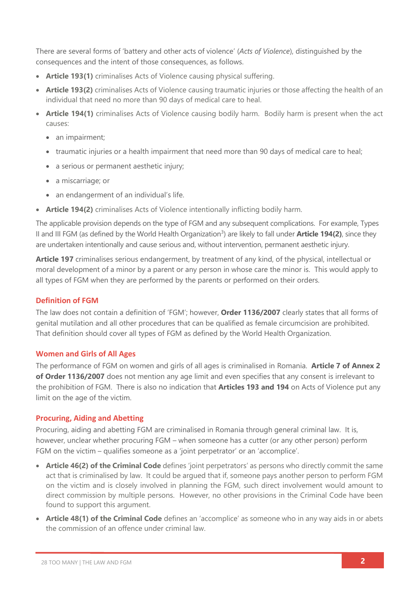There are several forms of 'battery and other acts of violence' (*Acts of Violence*), distinguished by the consequences and the intent of those consequences, as follows.

- **Article 193(1)** criminalises Acts of Violence causing physical suffering.
- **Article 193(2)** criminalises Acts of Violence causing traumatic injuries or those affecting the health of an individual that need no more than 90 days of medical care to heal.
- **Article 194(1)** criminalises Acts of Violence causing bodily harm. Bodily harm is present when the act causes:
	- an impairment;
	- traumatic injuries or a health impairment that need more than 90 days of medical care to heal;
	- a serious or permanent aesthetic injury;
	- a miscarriage; or
	- an endangerment of an individual's life.
- **Article 194(2)** criminalises Acts of Violence intentionally inflicting bodily harm.

The applicable provision depends on the type of FGM and any subsequent complications. For example, Types II and III FGM (as defined by the World Health Organization<sup>3</sup>) are likely to fall under **Article 194(2)**, since they are undertaken intentionally and cause serious and, without intervention, permanent aesthetic injury.

**Article 197** criminalises serious endangerment, by treatment of any kind, of the physical, intellectual or moral development of a minor by a parent or any person in whose care the minor is. This would apply to all types of FGM when they are performed by the parents or performed on their orders.

# **Definition of FGM**

The law does not contain a definition of 'FGM'; however, **Order 1136/2007** clearly states that all forms of genital mutilation and all other procedures that can be qualified as female circumcision are prohibited. That definition should cover all types of FGM as defined by the World Health Organization.

### **Women and Girls of All Ages**

The performance of FGM on women and girls of all ages is criminalised in Romania. **Article 7 of Annex 2 of Order 1136/2007** does not mention any age limit and even specifies that any consent is irrelevant to the prohibition of FGM. There is also no indication that **Articles 193 and 194** on Acts of Violence put any limit on the age of the victim.

### **Procuring, Aiding and Abetting**

Procuring, aiding and abetting FGM are criminalised in Romania through general criminal law. It is, however, unclear whether procuring FGM – when someone has a cutter (or any other person) perform FGM on the victim – qualifies someone as a 'joint perpetrator' or an 'accomplice'.

- **Article 46(2) of the Criminal Code** defines 'joint perpetrators' as persons who directly commit the same act that is criminalised by law. It could be argued that if, someone pays another person to perform FGM on the victim and is closely involved in planning the FGM, such direct involvement would amount to direct commission by multiple persons.However, no other provisions in the Criminal Code have been found to support this argument.
- **Article 48(1) of the Criminal Code** defines an 'accomplice' as someone who in any way aids in or abets the commission of an offence under criminal law.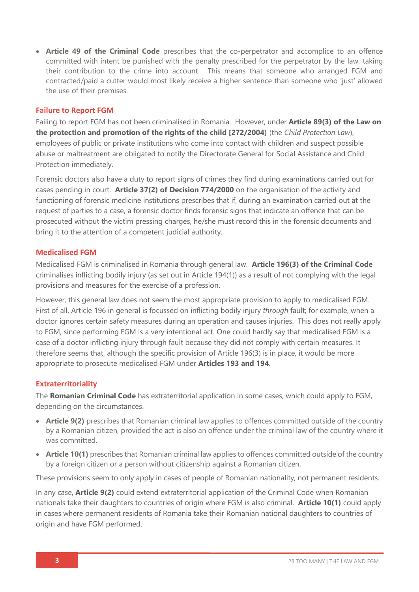• **Article 49 of the Criminal Code** prescribes that the co-perpetrator and accomplice to an offence committed with intent be punished with the penalty prescribed for the perpetrator by the law, taking their contribution to the crime into account. This means that someone who arranged FGM and contracted/paid a cutter would most likely receive a higher sentence than someone who 'just' allowed the use of their premises.

#### **Failure to Report FGM**

Failing to report FGM has not been criminalised in Romania. However, under **Article 89(3) of the Law on the protection and promotion of the rights of the child [272/2004]** (the *Child Protection Law*), employees of public or private institutions who come into contact with children and suspect possible abuse or maltreatment are obligated to notify the Directorate General for Social Assistance and Child Protection immediately.

Forensic doctors also have a duty to report signs of crimes they find during examinations carried out for cases pending in court. **Article 37(2) of Decision 774/2000** on the organisation of the activity and functioning of forensic medicine institutions prescribes that if, during an examination carried out at the request of parties to a case, a forensic doctor finds forensic signs that indicate an offence that can be prosecuted without the victim pressing charges, he/she must record this in the forensic documents and bring it to the attention of a competent judicial authority.

#### **Medicalised FGM**

Medicalised FGM is criminalised in Romania through general law. **Article 196(3) of the Criminal Code**  criminalises inflicting bodily injury (as set out in Article 194(1)) as a result of not complying with the legal provisions and measures for the exercise of a profession.

However, this general law does not seem the most appropriate provision to apply to medicalised FGM. First of all, Article 196 in general is focussed on inflicting bodily injury *through* fault; for example, when a doctor ignores certain safety measures during an operation and causes injuries. This does not really apply to FGM, since performing FGM is a very intentional act. One could hardly say that medicalised FGM is a case of a doctor inflicting injury through fault because they did not comply with certain measures. It therefore seems that, although the specific provision of Article 196(3) is in place, it would be more appropriate to prosecute medicalised FGM under **Articles 193 and 194**.

### **Extraterritoriality**

The **Romanian Criminal Code** has extraterritorial application in some cases, which could apply to FGM, depending on the circumstances.

- **Article 9(2)** prescribes that Romanian criminal law applies to offences committed outside of the country by a Romanian citizen, provided the act is also an offence under the criminal law of the country where it was committed.
- **Article 10(1)** prescribes that Romanian criminal law applies to offences committed outside of the country by a foreign citizen or a person without citizenship against a Romanian citizen.

These provisions seem to only apply in cases of people of Romanian nationality, not permanent residents.

In any case, **Article 9(2)** could extend extraterritorial application of the Criminal Code when Romanian nationals take their daughters to countries of origin where FGM is also criminal. **Article 10(1)** could apply in cases where permanent residents of Romania take their Romanian national daughters to countries of origin and have FGM performed.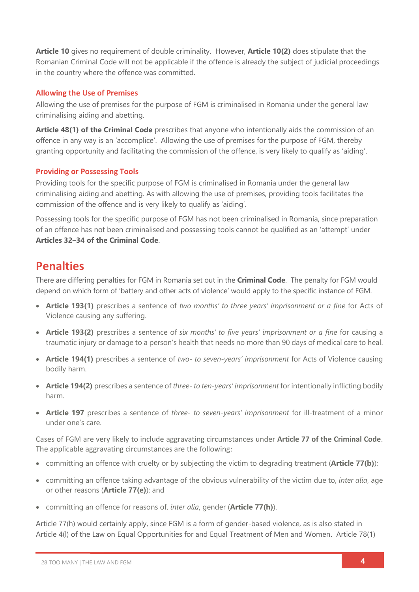**Article 10** gives no requirement of double criminality. However, **Article 10(2)** does stipulate that the Romanian Criminal Code will not be applicable if the offence is already the subject of judicial proceedings in the country where the offence was committed.

# **Allowing the Use of Premises**

Allowing the use of premises for the purpose of FGM is criminalised in Romania under the general law criminalising aiding and abetting.

**Article 48(1) of the Criminal Code** prescribes that anyone who intentionally aids the commission of an offence in any way is an 'accomplice'. Allowing the use of premises for the purpose of FGM, thereby granting opportunity and facilitating the commission of the offence, is very likely to qualify as 'aiding'.

## **Providing or Possessing Tools**

Providing tools for the specific purpose of FGM is criminalised in Romania under the general law criminalising aiding and abetting. As with allowing the use of premises, providing tools facilitates the commission of the offence and is very likely to qualify as 'aiding'.

Possessing tools for the specific purpose of FGM has not been criminalised in Romania, since preparation of an offence has not been criminalised and possessing tools cannot be qualified as an 'attempt' under **Articles 32–34 of the Criminal Code**.

# **Penalties**

There are differing penalties for FGM in Romania set out in the **Criminal Code**. The penalty for FGM would depend on which form of 'battery and other acts of violence' would apply to the specific instance of FGM.

- **Article 193(1)** prescribes a sentence of *two months' to three years' imprisonment or a fine* for Acts of Violence causing any suffering.
- **Article 193(2)** prescribes a sentence of *six months' to five years' imprisonment or a fine* for causing a traumatic injury or damage to a person's health that needs no more than 90 days of medical care to heal.
- **Article 194(1)** prescribes a sentence of *two- to seven-years' imprisonment* for Acts of Violence causing bodily harm.
- **Article 194(2)** prescribes a sentence of *three- to ten-years' imprisonment* for intentionally inflicting bodily harm.
- **Article 197** prescribes a sentence of *three- to seven-years' imprisonment* for ill-treatment of a minor under one's care.

Cases of FGM are very likely to include aggravating circumstances under **Article 77 of the Criminal Code**. The applicable aggravating circumstances are the following:

- committing an offence with cruelty or by subjecting the victim to degrading treatment (**Article 77(b)**);
- committing an offence taking advantage of the obvious vulnerability of the victim due to, *inter alia*, age or other reasons (**Article 77(e)**); and
- committing an offence for reasons of, *inter alia*, gender (**Article 77(h)**).

Article 77(h) would certainly apply, since FGM is a form of gender-based violence, as is also stated in Article 4(l) of the Law on Equal Opportunities for and Equal Treatment of Men and Women. Article 78(1)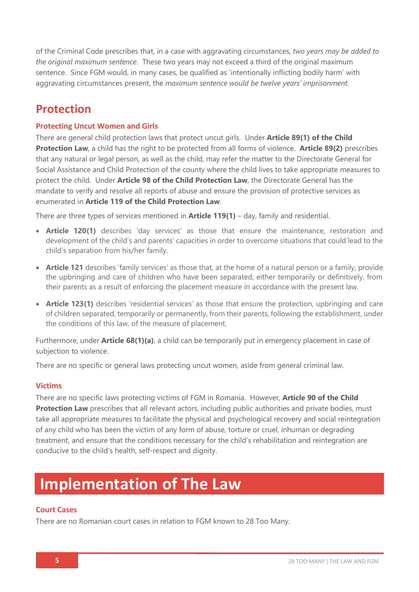of the Criminal Code prescribes that, in a case with aggravating circumstances, *two years may be added to the original maximum sentence*. These two years may not exceed a third of the original maximum sentence. Since FGM would, in many cases, be qualified as 'intentionally inflicting bodily harm' with aggravating circumstances present, the *maximum sentence would be twelve years' imprisonment.*

# **Protection**

# **Protecting Uncut Women and Girls**

There are general child protection laws that protect uncut girls. Under **Article 89(1) of the Child Protection Law**, a child has the right to be protected from all forms of violence. **Article 89(2)** prescribes that any natural or legal person, as well as the child, may refer the matter to the Directorate General for Social Assistance and Child Protection of the county where the child lives to take appropriate measures to protect the child. Under **Article 98 of the Child Protection Law**, the Directorate General has the mandate to verify and resolve all reports of abuse and ensure the provision of protective services as enumerated in **Article 119 of the Child Protection Law**.

There are three types of services mentioned in **Article 119(1)** – day, family and residential.

- **Article 120(1)** describes 'day services' as those that ensure the maintenance, restoration and development of the child's and parents' capacities in order to overcome situations that could lead to the child's separation from his/her family.
- **Article 121** describes 'family services' as those that, at the home of a natural person or a family, provide the upbringing and care of children who have been separated, either temporarily or definitively, from their parents as a result of enforcing the placement measure in accordance with the present law.
- **Article 123(1)** describes 'residential services' as those that ensure the protection, upbringing and care of children separated, temporarily or permanently, from their parents, following the establishment, under the conditions of this law, of the measure of placement.

Furthermore, under **Article 68(1)(a)**, a child can be temporarily put in emergency placement in case of subjection to violence.

There are no specific or general laws protecting uncut women, aside from general criminal law.

## **Victims**

There are no specific laws protecting victims of FGM in Romania. However, **Article 90 of the Child Protection Law** prescribes that all relevant actors, including public authorities and private bodies, must take all appropriate measures to facilitate the physical and psychological recovery and social reintegration of any child who has been the victim of any form of abuse, torture or cruel, inhuman or degrading treatment, and ensure that the conditions necessary for the child's rehabilitation and reintegration are conducive to the child's health, self-respect and dignity.

# **Implementation of The Law**

## **Court Cases**

There are no Romanian court cases in relation to FGM known to 28 Too Many.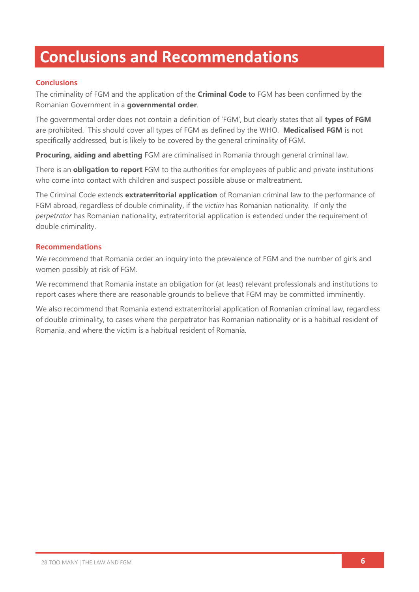# **Conclusions and Recommendations**

# **Conclusions**

The criminality of FGM and the application of the **Criminal Code** to FGM has been confirmed by the Romanian Government in a **governmental order**.

The governmental order does not contain a definition of 'FGM', but clearly states that all **types of FGM** are prohibited. This should cover all types of FGM as defined by the WHO. **Medicalised FGM** is not specifically addressed, but is likely to be covered by the general criminality of FGM.

**Procuring, aiding and abetting** FGM are criminalised in Romania through general criminal law.

There is an **obligation to report** FGM to the authorities for employees of public and private institutions who come into contact with children and suspect possible abuse or maltreatment.

The Criminal Code extends **extraterritorial application** of Romanian criminal law to the performance of FGM abroad, regardless of double criminality, if the *victim* has Romanian nationality. If only the *perpetrator* has Romanian nationality, extraterritorial application is extended under the requirement of double criminality.

### **Recommendations**

We recommend that Romania order an inquiry into the prevalence of FGM and the number of girls and women possibly at risk of FGM.

We recommend that Romania instate an obligation for (at least) relevant professionals and institutions to report cases where there are reasonable grounds to believe that FGM may be committed imminently.

We also recommend that Romania extend extraterritorial application of Romanian criminal law, regardless of double criminality, to cases where the perpetrator has Romanian nationality or is a habitual resident of Romania, and where the victim is a habitual resident of Romania.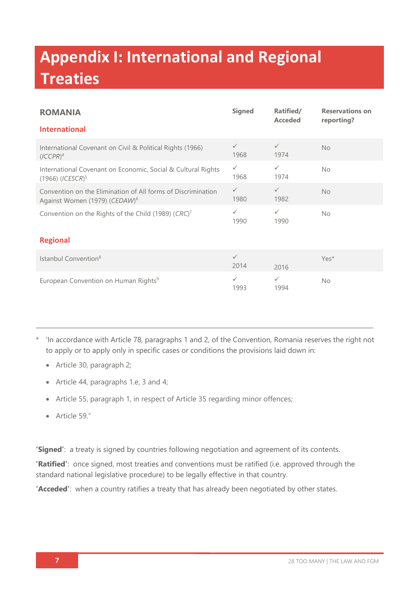# **Appendix I: International and Regional Treaties**

| <b>ROMANIA</b>                                                                                            | <b>Signed</b>        | Ratified/<br><b>Acceded</b> | <b>Reservations on</b><br>reporting? |  |  |
|-----------------------------------------------------------------------------------------------------------|----------------------|-----------------------------|--------------------------------------|--|--|
| <b>International</b>                                                                                      |                      |                             |                                      |  |  |
| International Covenant on Civil & Political Rights (1966)<br>$(ICCPR)^4$                                  | $\checkmark$<br>1968 | $\checkmark$<br>1974        | <b>No</b>                            |  |  |
| International Covenant on Economic, Social & Cultural Rights<br>$(1966)$ (ICESCR) <sup>5</sup>            | $\checkmark$<br>1968 | $\checkmark$<br>1974        | <b>No</b>                            |  |  |
| Convention on the Elimination of All forms of Discrimination<br>Against Women (1979) (CEDAW) <sup>6</sup> | $\checkmark$<br>1980 | $\checkmark$<br>1982        | <b>No</b>                            |  |  |
| Convention on the Rights of the Child (1989) (CRC) <sup>7</sup>                                           | $\checkmark$<br>1990 | ✓<br>1990                   | <b>No</b>                            |  |  |
| <b>Regional</b>                                                                                           |                      |                             |                                      |  |  |
| Istanbul Convention <sup>8</sup>                                                                          | $\checkmark$<br>2014 | 2016                        | Yes*                                 |  |  |
| European Convention on Human Rights <sup>9</sup>                                                          | $\checkmark$<br>1993 | $\checkmark$<br>1994        | <b>No</b>                            |  |  |

- \* 'In accordance with Article 78, paragraphs 1 and 2, of the Convention, Romania reserves the right not to apply or to apply only in specific cases or conditions the provisions laid down in:
	- Article 30, paragraph 2;
	- Article 44, paragraphs 1.e, 3 and 4;
	- Article 55, paragraph 1, in respect of Article 35 regarding minor offences;
	- Article 59."

**'Signed'**: a treaty is signed by countries following negotiation and agreement of its contents.

**'Ratified'**: once signed, most treaties and conventions must be ratified (i.e. approved through the standard national legislative procedure) to be legally effective in that country.

**'Acceded'**: when a country ratifies a treaty that has already been negotiated by other states.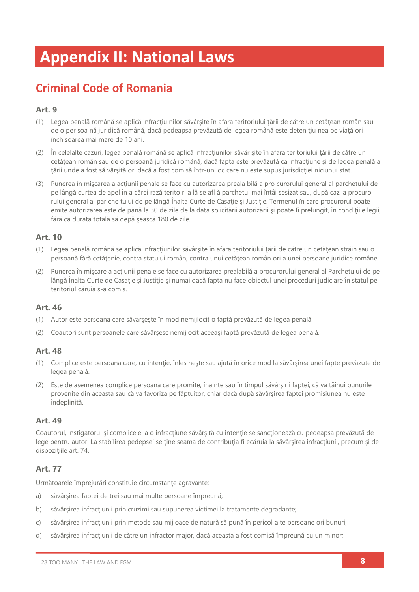# **Appendix II: National Laws**

# **Criminal Code of Romania**

# **Art. 9**

- (1) Legea penală română se aplică infracţiu nilor săvârşite în afara teritoriului ţării de către un cetăţean român sau de o per soa nă juridică română, dacă pedeapsa prevăzută de legea română este deten țiu nea pe viață ori închisoarea mai mare de 10 ani.
- (2) În celelalte cazuri, legea penală română se aplică infracţiunilor săvâr şite în afara teritoriului ţării de către un cetăţean român sau de o persoană juridică română, dacă fapta este prevăzută ca infracţiune şi de legea penală a ţării unde a fost să vârşită ori dacă a fost comisă într-un loc care nu este supus jurisdicţiei niciunui stat.
- (3) Punerea în mișcarea a acțiunii penale se face cu autorizarea preala bilă a pro curorului general al parchetului de pe lângă curtea de apel în a cărei rază terito ri a lă se afl ă parchetul mai întâi sesizat sau, după caz, a procuro rului general al par che tului de pe lângă Înalta Curte de Casaţie şi Justiţie. Termenul în care procurorul poate emite autorizarea este de până la 30 de zile de la data solicitării autorizării și poate fi prelungit, în condițiile legii, fără ca durata totală să depă şească 180 de zile.

## **Art. 10**

- (1) Legea penală română se aplică infracțiunilor săvârșite în afara teritoriului țării de către un cetățean străin sau o persoană fără cetăţenie, contra statului român, contra unui cetăţean român ori a unei persoane juridice române.
- (2) Punerea în mişcare a acţiunii penale se face cu autorizarea prealabilă a procurorului general al Parchetului de pe lângă Înalta Curte de Casaţie şi Justiţie şi numai dacă fapta nu face obiectul unei proceduri judiciare în statul pe teritoriul căruia s-a comis.

# **Art. 46**

- (1) Autor este persoana care săvârşeşte în mod nemijlocit o faptă prevăzută de legea penală.
- (2) Coautori sunt persoanele care săvârşesc nemijlocit aceeaşi faptă prevăzută de legea penală.

### **Art. 48**

- (1) Complice este persoana care, cu intenţie, înles neşte sau ajută în orice mod la săvârşirea unei fapte prevăzute de legea penală.
- (2) Este de asemenea complice persoana care promite, înainte sau în timpul săvârşirii faptei, că va tăinui bunurile provenite din aceasta sau că va favoriza pe făptuitor, chiar dacă după săvârşirea faptei promisiunea nu este îndeplinită.

### **Art. 49**

Coautorul, instigatorul şi complicele la o infracţiune săvârşită cu intenţie se sancţionează cu pedeapsa prevăzută de lege pentru autor. La stabilirea pedepsei se ţine seama de contribuţia fi ecăruia la săvârşirea infracţiunii, precum şi de dispoziţiile art. 74.

# **Art. 77**

Următoarele împrejurări constituie circumstanţe agravante:

- a) săvârşirea faptei de trei sau mai multe persoane împreună;
- b) săvârșirea infracțiunii prin cruzimi sau supunerea victimei la tratamente degradante;
- c) săvârșirea infracțiunii prin metode sau mijloace de natură să pună în pericol alte persoane ori bunuri;
- d) săvârşirea infracţiunii de către un infractor major, dacă aceasta a fost comisă împreună cu un minor;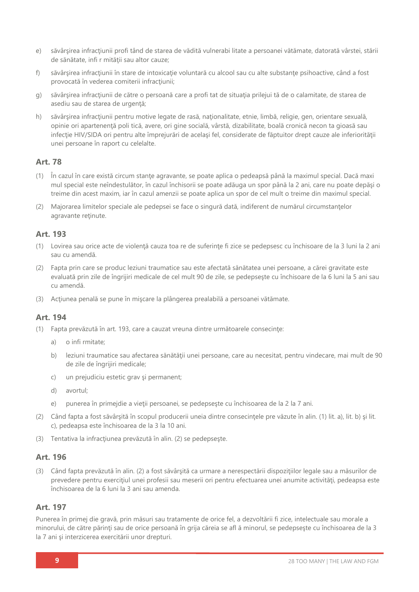- e) săvârşirea infracţiunii profi tând de starea de vădită vulnerabi litate a persoanei vătămate, datorată vârstei, stării de sănătate, infi r mităţii sau altor cauze;
- f) săvârșirea infracțiunii în stare de intoxicație voluntară cu alcool sau cu alte substanțe psihoacțive, când a fost provocată în vederea comiterii infracțiunii;
- g) săvârșirea infracțiunii de către o persoană care a profi tat de situația prilejui tă de o calamitate, de starea de asediu sau de starea de urgență;
- h) săvârșirea infracțiunii pentru motive legate de rasă, naționalitate, etnie, limbă, religie, gen, orientare sexuală, opinie ori apartenenţă poli tică, avere, ori gine socială, vârstă, dizabilitate, boală cronică necon ta gioasă sau infecție HIV/SIDA ori pentru alte împrejurări de același fel, considerate de făptuitor drept cauze ale inferiorității unei persoane în raport cu celelalte.

## **Art. 78**

- (1) În cazul în care există circum stanţe agravante, se poate aplica o pedeapsă până la maximul special. Dacă maxi mul special este neîndestulător, în cazul închisorii se poate adăuga un spor până la 2 ani, care nu poate depăşi o treime din acest maxim, iar în cazul amenzii se poate aplica un spor de cel mult o treime din maximul special.
- (2) Majorarea limitelor speciale ale pedepsei se face o singură dată, indiferent de numărul circumstanţelor agravante reţinute.

### **Art. 193**

- (1) Lovirea sau orice acte de violenţă cauza toa re de suferinţe fi zice se pedepsesc cu închisoare de la 3 luni la 2 ani sau cu amendă.
- (2) Fapta prin care se produc leziuni traumatice sau este afectată sănătatea unei persoane, a cărei gravitate este evaluată prin zile de îngrijiri medicale de cel mult 90 de zile, se pedepseşte cu închisoare de la 6 luni la 5 ani sau cu amendă.
- (3) Acţiunea penală se pune în mişcare la plângerea prealabilă a persoanei vătămate.

### **Art. 194**

- (1) Fapta prevăzută în art. 193, care a cauzat vreuna dintre următoarele consecinţe:
	- a) o infi rmitate;
	- b) leziuni traumatice sau afectarea sănătății unei persoane, care au necesitat, pentru vindecare, mai mult de 90 de zile de îngrijiri medicale;
	- c) un prejudiciu estetic grav şi permanent;
	- d) avortul;
	- e) punerea în primejdie a vieţii persoanei, se pedepseşte cu închisoarea de la 2 la 7 ani.
- (2) Când fapta a fost săvârșită în scopul producerii uneia dintre consecintele pre văzute în alin. (1) lit. a), lit. b) și lit. c), pedeapsa este închisoarea de la 3 la 10 ani.
- (3) Tentativa la infracţiunea prevăzută în alin. (2) se pedepseşte.

### **Art. 196**

(3) Când fapta prevăzută în alin. (2) a fost săvârşită ca urmare a nerespectării dispoziţiilor legale sau a măsurilor de prevedere pentru exercițiul unei profesii sau meserii ori pentru efectuarea unei anumite activități, pedeapsa este închisoarea de la 6 luni la 3 ani sau amenda.

#### **Art. 197**

Punerea în primej die gravă, prin măsuri sau tratamente de orice fel, a dezvoltării fi zice, intelectuale sau morale a minorului, de către părinți sau de orice persoană în grija căreia se afl ă minorul, se pedepsește cu închisoarea de la 3 la 7 ani şi interzicerea exercitării unor drepturi.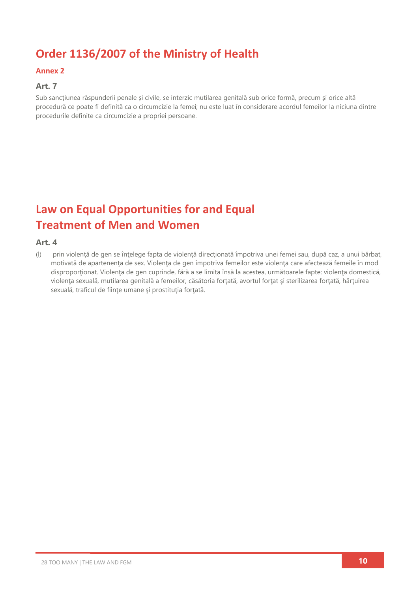# **Order 1136/2007 of the Ministry of Health**

### **Annex 2**

# **Art. 7**

Sub sancțiunea răspunderii penale și civile, se interzic mutilarea genitală sub orice formă, precum și orice altă procedură ce poate fi definită ca o circumcizie la femei; nu este luat în considerare acordul femeilor la niciuna dintre procedurile definite ca circumcizie a propriei persoane.

# **Law on Equal Opportunities for and Equal Treatment of Men and Women**

#### **Art. 4**

(l) prin violenţă de gen se înţelege fapta de violenţă direcţionată împotriva unei femei sau, după caz, a unui bărbat, motivată de apartenenţa de sex. Violenţa de gen împotriva femeilor este violenţa care afectează femeile în mod disproportionat. Violența de gen cuprinde, fără a se limita însă la acestea, următoarele fapte: violența domestică, violenţa sexuală, mutilarea genitală a femeilor, căsătoria forţată, avortul forţat şi sterilizarea forţată, hărţuirea sexuală, traficul de fiinţe umane şi prostituţia forţată.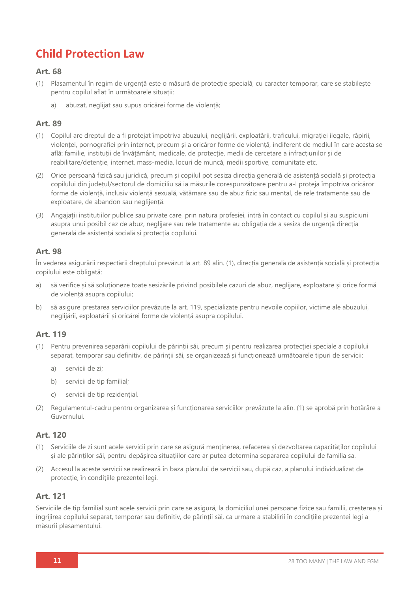# **Child Protection Law**

## **Art. 68**

- (1) Plasamentul în regim de urgență este o măsură de protecție specială, cu caracter temporar, care se stabilește pentru copilul aflat în următoarele situații:
	- a) abuzat, neglijat sau supus oricărei forme de violență;

## **Art. 89**

- (1) Copilul are dreptul de a fi protejat împotriva abuzului, neglijării, exploatării, traficului, migrației ilegale, răpirii, violenței, pornografiei prin internet, precum și a oricăror forme de violență, indiferent de mediul în care acesta se află: familie, instituții de învățământ, medicale, de protecție, medii de cercetare a infracțiunilor și de reabilitare/detenție, internet, mass-media, locuri de muncă, medii sportive, comunitate etc.
- (2) Orice persoană fizică sau juridică, precum și copilul pot sesiza direcția generală de asistență socială și protecția copilului din județul/sectorul de domiciliu să ia măsurile corespunzătoare pentru a-l proteja împotriva oricăror forme de violență, inclusiv violență sexuală, vătămare sau de abuz fizic sau mental, de rele tratamente sau de exploatare, de abandon sau neglijență.
- (3) Angajații instituțiilor publice sau private care, prin natura profesiei, intră în contact cu copilul și au suspiciuni asupra unui posibil caz de abuz, neglijare sau rele tratamente au obligația de a sesiza de urgență direcția generală de asistență socială și protecția copilului.

## **Art. 98**

În vederea asigurării respectării dreptului prevăzut la art. 89 alin. (1), direcția generală de asistență socială și protecția copilului este obligată:

- a) să verifice și să soluționeze toate sesizările privind posibilele cazuri de abuz, neglijare, exploatare și orice formă de violență asupra copilului;
- b) să asigure prestarea serviciilor prevăzute la art. 119, specializate pentru nevoile copiilor, victime ale abuzului, neglijării, exploatării și oricărei forme de violență asupra copilului.

## **Art. 119**

- (1) Pentru prevenirea separării copilului de părinții săi, precum și pentru realizarea protecției speciale a copilului separat, temporar sau definitiv, de părinții săi, se organizează și funcționează următoarele tipuri de servicii:
	- a) servicii de zi;
	- b) servicii de tip familial;
	- c) servicii de tip rezidențial.
- (2) Regulamentul-cadru pentru organizarea și funcționarea serviciilor prevăzute la alin. (1) se aprobă prin hotărâre a Guvernului.

### **Art. 120**

- (1) Serviciile de zi sunt acele servicii prin care se asigură menținerea, refacerea și dezvoltarea capacităților copilului și ale părinților săi, pentru depășirea situațiilor care ar putea determina separarea copilului de familia sa.
- (2) Accesul la aceste servicii se realizează în baza planului de servicii sau, după caz, a planului individualizat de protecție, în condițiile prezentei legi.

### **Art. 121**

Serviciile de tip familial sunt acele servicii prin care se asigură, la domiciliul unei persoane fizice sau familii, creșterea și îngrijirea copilului separat, temporar sau definitiv, de părinții săi, ca urmare a stabilirii în condițiile prezentei legi a măsurii plasamentului.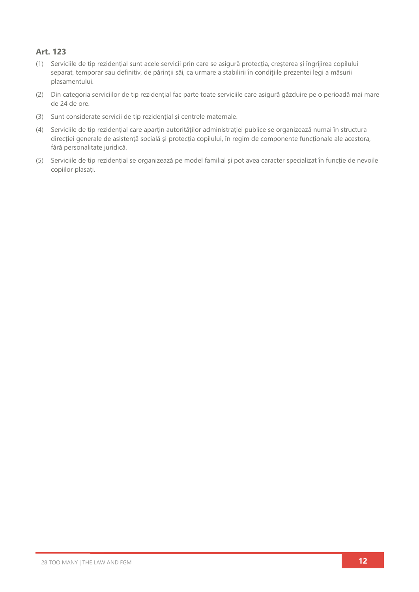# **Art. 123**

- (1) Serviciile de tip rezidențial sunt acele servicii prin care se asigură protecția, creșterea și îngrijirea copilului separat, temporar sau definitiv, de părinții săi, ca urmare a stabilirii în condițiile prezentei legi a măsurii plasamentului.
- (2) Din categoria serviciilor de tip rezidențial fac parte toate serviciile care asigură găzduire pe o perioadă mai mare de 24 de ore.
- (3) Sunt considerate servicii de tip rezidențial și centrele maternale.
- (4) Serviciile de tip rezidențial care aparțin autorităților administrației publice se organizează numai în structura direcției generale de asistență socială și protecția copilului, în regim de componente funcționale ale acestora, fără personalitate juridică.
- (5) Serviciile de tip rezidențial se organizează pe model familial și pot avea caracter specializat în funcție de nevoile copiilor plasați.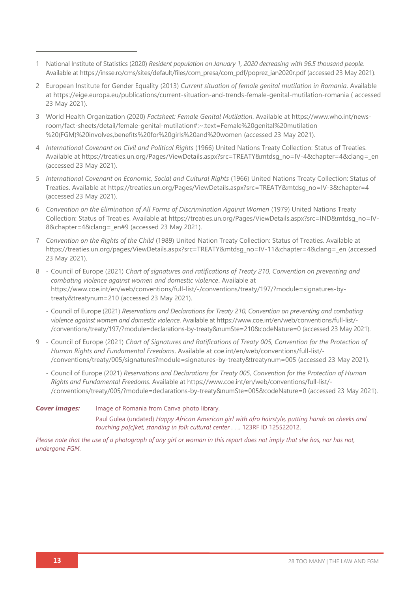- 1 National Institute of Statistics (2020) *Resident population on January 1, 2020 decreasing with 96.5 thousand people*. Available a[t https://insse.ro/cms/sites/default/files/com\\_presa/com\\_pdf/poprez\\_ian2020r.pdf](https://insse.ro/cms/sites/default/files/com_presa/com_pdf/poprez_ian2020r.pdf) (accessed 23 May 2021).
- 2 European Institute for Gender Equality (2013) *Current situation of female genital mutilation in Romania*. Available at<https://eige.europa.eu/publications/current-situation-and-trends-female-genital-mutilation-romania> ( accessed 23 May 2021).
- 3 World Health Organization (2020) *Factsheet: Female Genital Mutilation*. Available at [https://www.who.int/news](https://www.who.int/news-room/fact-sheets/detail/female-genital-mutilation#:~:text=Female%20genital%20mutilation%20(FGM)%20involves,benefits%20for%20girls%20and%20women)[room/fact-sheets/detail/female-genital-mutilation#:~:text=Female%20genital%20mutilation](https://www.who.int/news-room/fact-sheets/detail/female-genital-mutilation#:~:text=Female%20genital%20mutilation%20(FGM)%20involves,benefits%20for%20girls%20and%20women) [%20\(FGM\)%20involves,benefits%20for%20girls%20and%20women](https://www.who.int/news-room/fact-sheets/detail/female-genital-mutilation#:~:text=Female%20genital%20mutilation%20(FGM)%20involves,benefits%20for%20girls%20and%20women) (accessed 23 May 2021).
- 4 *International Covenant on Civil and Political Rights* (1966) United Nations Treaty Collection: Status of Treaties*.* Available at [https://treaties.un.org/Pages/ViewDetails.aspx?src=TREATY&mtdsg\\_no=IV-4&chapter=4&clang=\\_en](https://treaties.un.org/Pages/ViewDetails.aspx?src=TREATY&mtdsg_no=IV-4&chapter=4&clang=_en) (accessed 23 May 2021).
- 5 *International Covenant on Economic, Social and Cultural Rights* (1966) United Nations Treaty Collection: Status of Treaties. Available at [https://treaties.un.org/Pages/ViewDetails.aspx?src=TREATY&mtdsg\\_no=IV-3&chapter=4](https://treaties.un.org/Pages/ViewDetails.aspx?src=TREATY&mtdsg_no=IV-3&chapter=4) (accessed 23 May 2021).
- 6 *Convention on the Elimination of All Forms of Discrimination Against Women* (1979) United Nations Treaty Collection: Status of Treaties. Available at [https://treaties.un.org/Pages/ViewDetails.aspx?src=IND&mtdsg\\_no=IV-](https://treaties.un.org/Pages/ViewDetails.aspx?src=IND&mtdsg_no=IV-8&chapter=4&clang=_en#9)8&chapter=4&clang= en#9 (accessed 23 May 2021).
- 7 *Convention on the Rights of the Child* (1989) United Nation Treaty Collection: Status of Treaties. Available at [https://treaties.un.org/pages/ViewDetails.aspx?src=TREATY&mtdsg\\_no=IV-11&chapter=4&clang=\\_en](https://treaties.un.org/pages/ViewDetails.aspx?src=TREATY&mtdsg_no=IV-11&chapter=4&clang=_en) (accessed 23 May 2021).
- 8 Council of Europe (2021) *Chart of signatures and ratifications of Treaty 210, Convention on preventing and combating violence against women and domestic violence*. Available at [https://www.coe.int/en/web/conventions/full-list/-/conventions/treaty/197/?module=signatures-by](https://www.coe.int/en/web/conventions/full-list/-/conventions/treaty/197/?module=signatures-by-treaty&treatynum=210)[treaty&treatynum=210](https://www.coe.int/en/web/conventions/full-list/-/conventions/treaty/197/?module=signatures-by-treaty&treatynum=210) (accessed 23 May 2021).
	- Council of Europe (2021) *Reservations and Declarations for Treaty 210, Convention on preventing and combating violence against women and domestic violence*. Available at [https://www.coe.int/en/web/conventions/full-list/-](https://www.coe.int/en/web/conventions/full-list/-/conventions/treaty/197/?module=declarations-by-treaty&numSte=210&codeNature=0) [/conventions/treaty/197/?module=declarations-by-treaty&numSte=210&codeNature=0](https://www.coe.int/en/web/conventions/full-list/-/conventions/treaty/197/?module=declarations-by-treaty&numSte=210&codeNature=0) (accessed 23 May 2021).
- 9 Council of Europe (2021) *Chart of Signatures and Ratifications of Treaty 005, Convention for the Protection of Human Rights and Fundamental Freedoms*. Available at coe.int/en/web/conventions/full-list/- /conventions/treaty/005/signatures?module=signatures-by-treaty&treatynum=005 (accessed 23 May 2021).
	- Council of Europe (2021) *Reservations and Declarations for Treaty 005, Convention for the Protection of Human Rights and Fundamental Freedoms*. Available at [https://www.coe.int/en/web/conventions/full-list/-](https://www.coe.int/en/web/conventions/full-list/-/conventions/treaty/005/?module=declarations-by-treaty&numSte=005&codeNature=0) [/conventions/treaty/005/?module=declarations-by-treaty&numSte=005&codeNature=0](https://www.coe.int/en/web/conventions/full-list/-/conventions/treaty/005/?module=declarations-by-treaty&numSte=005&codeNature=0) (accessed 23 May 2021).

#### **Cover images:** Image of Romania from Canva photo library. Paul Gulea (undated) *Happy African American girl with afro hairstyle, putting hands on cheeks and touching po[c]ket, standing in folk cultural center . . .*. 123RF ID 125522012.

*Please note that the use of a photograph of any girl or woman in this report does not imply that she has, nor has not, undergone FGM.*